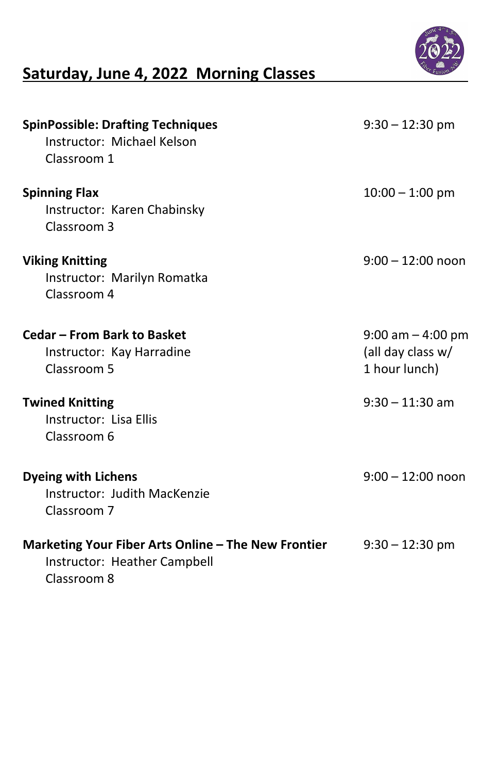

# Saturday, June 4, 2022 Morning Classes

| <b>SpinPossible: Drafting Techniques</b><br>Instructor: Michael Kelson<br>Classroom 1    | $9:30 - 12:30$ pm                                            |
|------------------------------------------------------------------------------------------|--------------------------------------------------------------|
| <b>Spinning Flax</b><br>Instructor: Karen Chabinsky<br>Classroom 3                       | $10:00 - 1:00$ pm                                            |
| <b>Viking Knitting</b><br>Instructor: Marilyn Romatka<br>Classroom 4                     | $9:00 - 12:00$ noon                                          |
| Cedar – From Bark to Basket<br>Instructor: Kay Harradine<br>Classroom 5                  | $9:00$ am $-4:00$ pm<br>(all day class $w/$<br>1 hour lunch) |
| <b>Twined Knitting</b><br>Instructor: Lisa Ellis<br>Classroom 6                          | $9:30 - 11:30$ am                                            |
| <b>Dyeing with Lichens</b><br>Instructor: Judith MacKenzie<br>Classroom 7                | $9:00-12:00$ noon                                            |
| Marketing Your Fiber Arts Online – The New Frontier<br>الموامرمورم ورموا الممرال ومدامها | $9:30-12:30$ pm                                              |

Instructor: Heather Campbell

### Classroom 8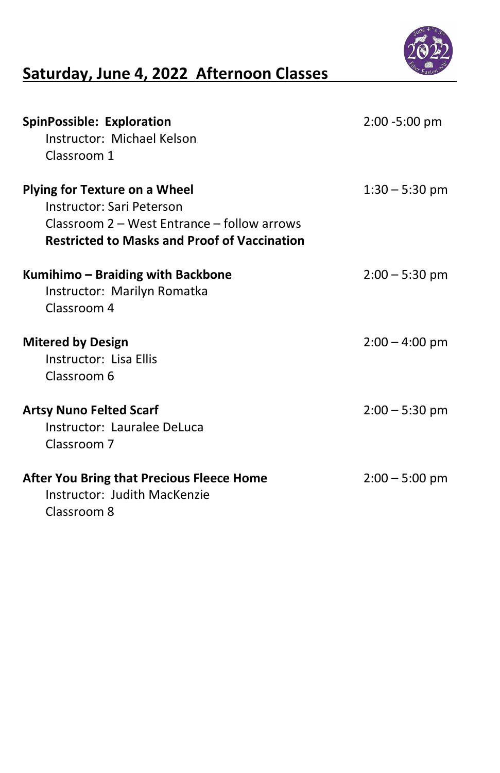

# Saturday, June 4, 2022 Afternoon Classes

| <b>SpinPossible: Exploration</b><br>Instructor: Michael Kelson<br>Classroom 1                                                                                           | $2:00 - 5:00 \text{ pm}$ |
|-------------------------------------------------------------------------------------------------------------------------------------------------------------------------|--------------------------|
| <b>Plying for Texture on a Wheel</b><br>Instructor: Sari Peterson<br>Classroom 2 – West Entrance – follow arrows<br><b>Restricted to Masks and Proof of Vaccination</b> | $1:30 - 5:30$ pm         |
| Kumihimo - Braiding with Backbone<br>Instructor: Marilyn Romatka<br>Classroom 4                                                                                         | $2:00 - 5:30$ pm         |
| <b>Mitered by Design</b><br>Instructor: Lisa Ellis<br>Classroom 6                                                                                                       | $2:00 - 4:00$ pm         |
| <b>Artsy Nuno Felted Scarf</b><br>Instructor: Lauralee DeLuca<br>Classroom 7                                                                                            | $2:00 - 5:30$ pm         |
| <b>After You Bring that Precious Fleece Home</b><br>Instructor: Judith MacKenzie<br>Classroom 8                                                                         | $2:00 - 5:00$ pm         |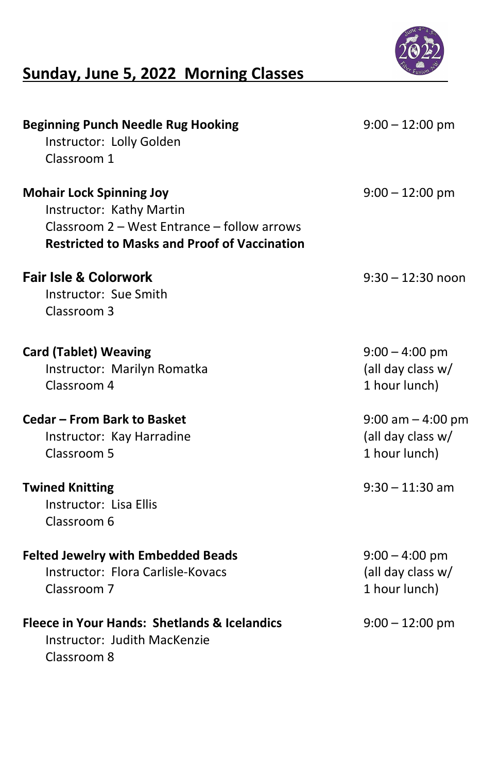

## Sunday, June 5, 2022 Morning Classes

 Instructor: Flora Carlisle-Kovacs (all day class w/ Classroom 7 1 hour lunch)

#### Fleece in Your Hands: Shetlands & Icelandics 9:00 – 12:00 pm

| <b>Beginning Punch Needle Rug Hooking</b><br>Instructor: Lolly Golden<br>Classroom 1                                                                              | $9:00-12:00$ pm                                              |
|-------------------------------------------------------------------------------------------------------------------------------------------------------------------|--------------------------------------------------------------|
| <b>Mohair Lock Spinning Joy</b><br>Instructor: Kathy Martin<br>Classroom 2 – West Entrance – follow arrows<br><b>Restricted to Masks and Proof of Vaccination</b> | $9:00 - 12:00$ pm                                            |
| <b>Fair Isle &amp; Colorwork</b><br>Instructor: Sue Smith<br>Classroom 3                                                                                          | $9:30 - 12:30$ noon                                          |
| <b>Card (Tablet) Weaving</b><br>Instructor: Marilyn Romatka<br>Classroom 4                                                                                        | $9:00 - 4:00$ pm<br>(all day class $w/$<br>1 hour lunch)     |
| <b>Cedar – From Bark to Basket</b><br>Instructor: Kay Harradine<br>Classroom 5                                                                                    | $9:00$ am $-4:00$ pm<br>(all day class $w/$<br>1 hour lunch) |
| <b>Twined Knitting</b><br>Instructor: Lisa Ellis<br>Classroom 6                                                                                                   | $9:30 - 11:30$ am                                            |
| <b>Felted Jewelry with Embedded Beads</b><br>turatan Flana Cauliala Karipan                                                                                       | $9:00 - 4:00$ pm<br>$\left($ ollaicheacht $\right)$          |

 Instructor: Judith MacKenzie Classroom 8